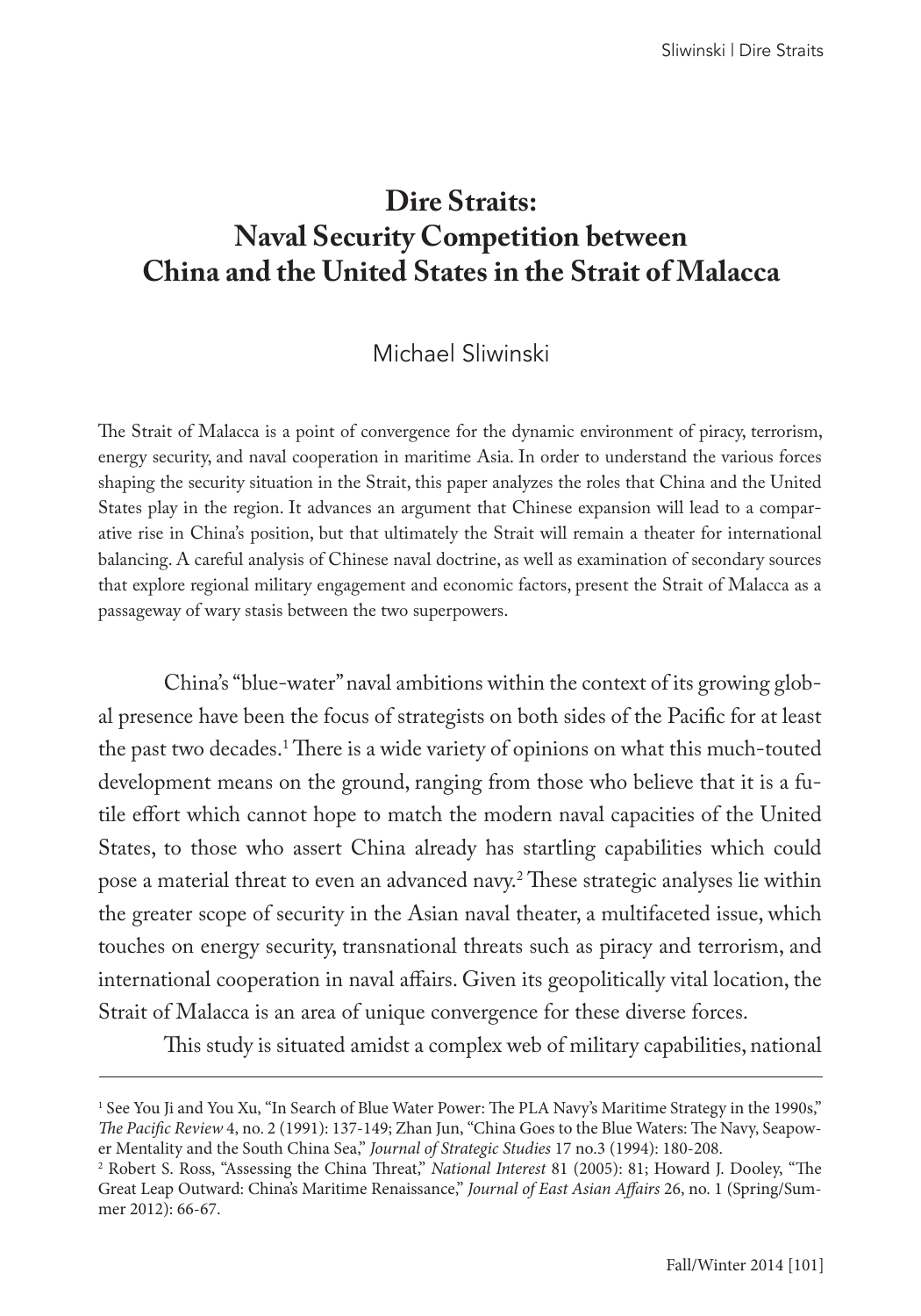# **Dire Straits: Naval Security Competition between China and the United States in the Strait of Malacca**

# Michael Sliwinski

The Strait of Malacca is a point of convergence for the dynamic environment of piracy, terrorism, energy security, and naval cooperation in maritime Asia. In order to understand the various forces shaping the security situation in the Strait, this paper analyzes the roles that China and the United States play in the region. It advances an argument that Chinese expansion will lead to a comparative rise in China's position, but that ultimately the Strait will remain a theater for international balancing. A careful analysis of Chinese naval doctrine, as well as examination of secondary sources that explore regional military engagement and economic factors, present the Strait of Malacca as a passageway of wary stasis between the two superpowers.

China's "blue-water" naval ambitions within the context of its growing global presence have been the focus of strategists on both sides of the Pacific for at least the past two decades.1 There is a wide variety of opinions on what this much-touted development means on the ground, ranging from those who believe that it is a futile effort which cannot hope to match the modern naval capacities of the United States, to those who assert China already has startling capabilities which could pose a material threat to even an advanced navy.2 These strategic analyses lie within the greater scope of security in the Asian naval theater, a multifaceted issue, which touches on energy security, transnational threats such as piracy and terrorism, and international cooperation in naval affairs. Given its geopolitically vital location, the Strait of Malacca is an area of unique convergence for these diverse forces.

This study is situated amidst a complex web of military capabilities, national

<sup>1</sup> See You Ji and You Xu, "In Search of Blue Water Power: The PLA Navy's Maritime Strategy in the 1990s," *The Pacific Review* 4, no. 2 (1991): 137-149; Zhan Jun, "China Goes to the Blue Waters: The Navy, Seapower Mentality and the South China Sea," *Journal of Strategic Studies* 17 no.3 (1994): 180-208.

<sup>2</sup> Robert S. Ross, "Assessing the China Threat," *National Interest* 81 (2005): 81; Howard J. Dooley, "The Great Leap Outward: China's Maritime Renaissance," *Journal of East Asian Affairs* 26, no. 1 (Spring/Summer 2012): 66-67.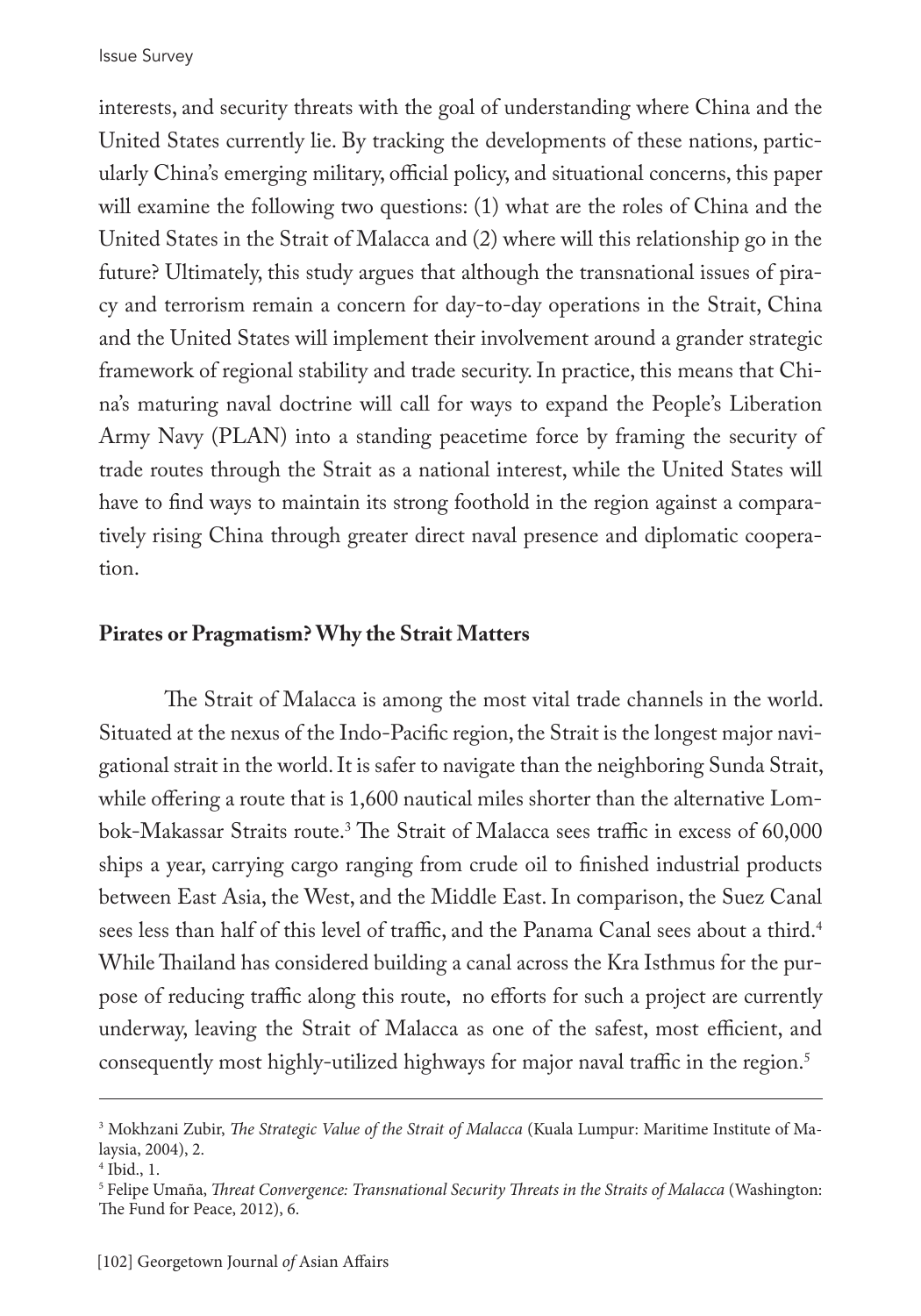interests, and security threats with the goal of understanding where China and the United States currently lie. By tracking the developments of these nations, particularly China's emerging military, official policy, and situational concerns, this paper will examine the following two questions: (1) what are the roles of China and the United States in the Strait of Malacca and (2) where will this relationship go in the future? Ultimately, this study argues that although the transnational issues of piracy and terrorism remain a concern for day-to-day operations in the Strait, China and the United States will implement their involvement around a grander strategic framework of regional stability and trade security. In practice, this means that China's maturing naval doctrine will call for ways to expand the People's Liberation Army Navy (PLAN) into a standing peacetime force by framing the security of trade routes through the Strait as a national interest, while the United States will have to find ways to maintain its strong foothold in the region against a comparatively rising China through greater direct naval presence and diplomatic cooperation.

## **Pirates or Pragmatism? Why the Strait Matters**

The Strait of Malacca is among the most vital trade channels in the world. Situated at the nexus of the Indo-Pacific region, the Strait is the longest major navigational strait in the world. It is safer to navigate than the neighboring Sunda Strait, while offering a route that is 1,600 nautical miles shorter than the alternative Lombok-Makassar Straits route.3 The Strait of Malacca sees traffic in excess of 60,000 ships a year, carrying cargo ranging from crude oil to finished industrial products between East Asia, the West, and the Middle East. In comparison, the Suez Canal sees less than half of this level of traffic, and the Panama Canal sees about a third.<sup>4</sup> While Thailand has considered building a canal across the Kra Isthmus for the purpose of reducing traffic along this route, no efforts for such a project are currently underway, leaving the Strait of Malacca as one of the safest, most efficient, and consequently most highly-utilized highways for major naval traffic in the region.<sup>5</sup>

<sup>3</sup> Mokhzani Zubir, *The Strategic Value of the Strait of Malacca* (Kuala Lumpur: Maritime Institute of Malaysia, 2004), 2.

<sup>4</sup> Ibid., 1.

<sup>5</sup> Felipe Umaña, *Threat Convergence: Transnational Security Threats in the Straits of Malacca* (Washington: The Fund for Peace, 2012), 6.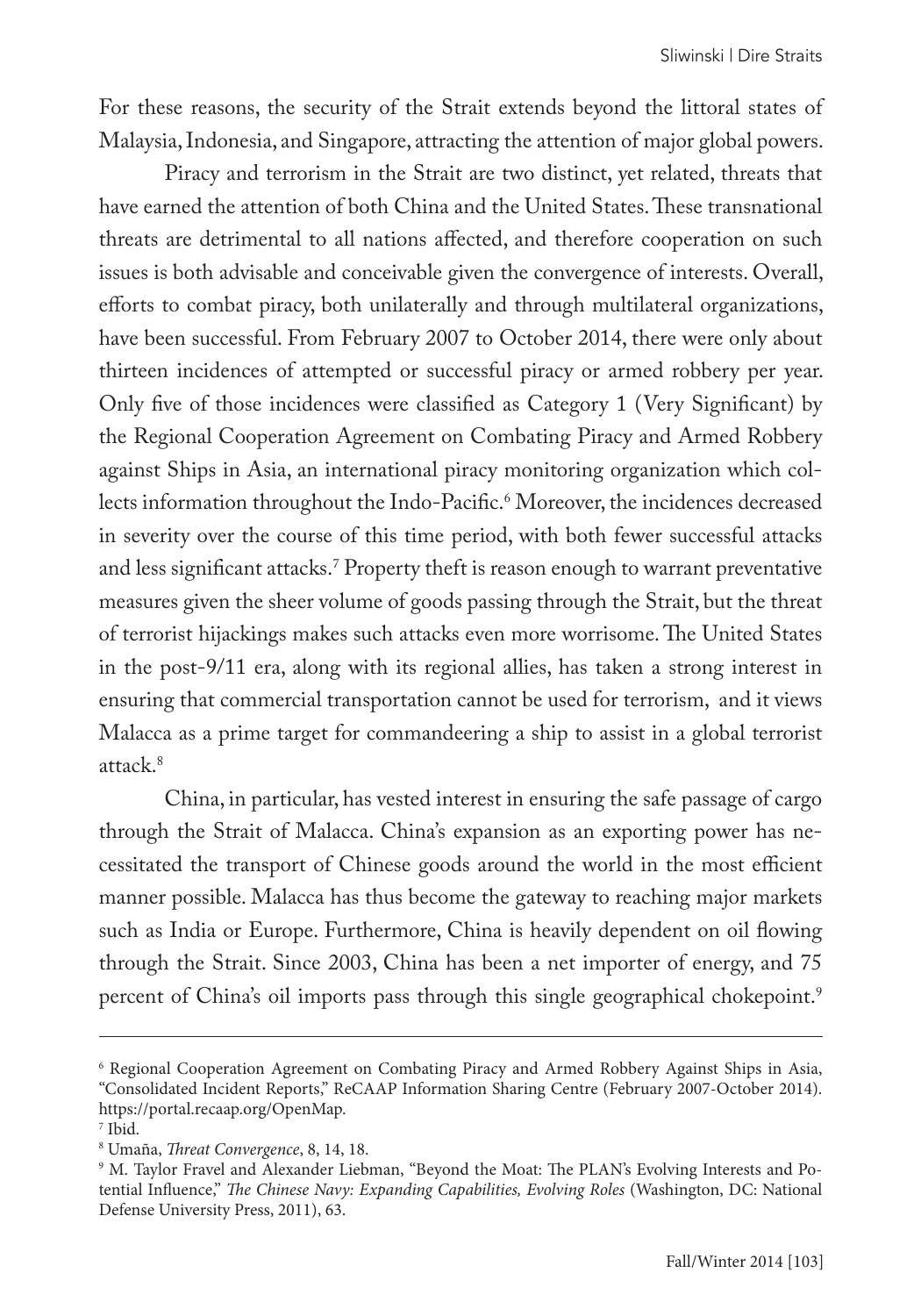For these reasons, the security of the Strait extends beyond the littoral states of Malaysia, Indonesia, and Singapore, attracting the attention of major global powers.

Piracy and terrorism in the Strait are two distinct, yet related, threats that have earned the attention of both China and the United States. These transnational threats are detrimental to all nations affected, and therefore cooperation on such issues is both advisable and conceivable given the convergence of interests. Overall, efforts to combat piracy, both unilaterally and through multilateral organizations, have been successful. From February 2007 to October 2014, there were only about thirteen incidences of attempted or successful piracy or armed robbery per year. Only five of those incidences were classified as Category 1 (Very Significant) by the Regional Cooperation Agreement on Combating Piracy and Armed Robbery against Ships in Asia, an international piracy monitoring organization which collects information throughout the Indo-Pacific.6 Moreover, the incidences decreased in severity over the course of this time period, with both fewer successful attacks and less significant attacks.7 Property theft is reason enough to warrant preventative measures given the sheer volume of goods passing through the Strait, but the threat of terrorist hijackings makes such attacks even more worrisome. The United States in the post-9/11 era, along with its regional allies, has taken a strong interest in ensuring that commercial transportation cannot be used for terrorism, and it views Malacca as a prime target for commandeering a ship to assist in a global terrorist attack.<sup>8</sup>

China, in particular, has vested interest in ensuring the safe passage of cargo through the Strait of Malacca. China's expansion as an exporting power has necessitated the transport of Chinese goods around the world in the most efficient manner possible. Malacca has thus become the gateway to reaching major markets such as India or Europe. Furthermore, China is heavily dependent on oil flowing through the Strait. Since 2003, China has been a net importer of energy, and 75 percent of China's oil imports pass through this single geographical chokepoint.<sup>9</sup>

<sup>6</sup> Regional Cooperation Agreement on Combating Piracy and Armed Robbery Against Ships in Asia, "Consolidated Incident Reports," ReCAAP Information Sharing Centre (February 2007-October 2014). https://portal.recaap.org/OpenMap.

<sup>7</sup> Ibid.

<sup>8</sup> Umaña, *Threat Convergence*, 8, 14, 18.

<sup>9</sup> M. Taylor Fravel and Alexander Liebman, "Beyond the Moat: The PLAN's Evolving Interests and Potential Influence," *The Chinese Navy: Expanding Capabilities, Evolving Roles* (Washington, DC: National Defense University Press, 2011), 63.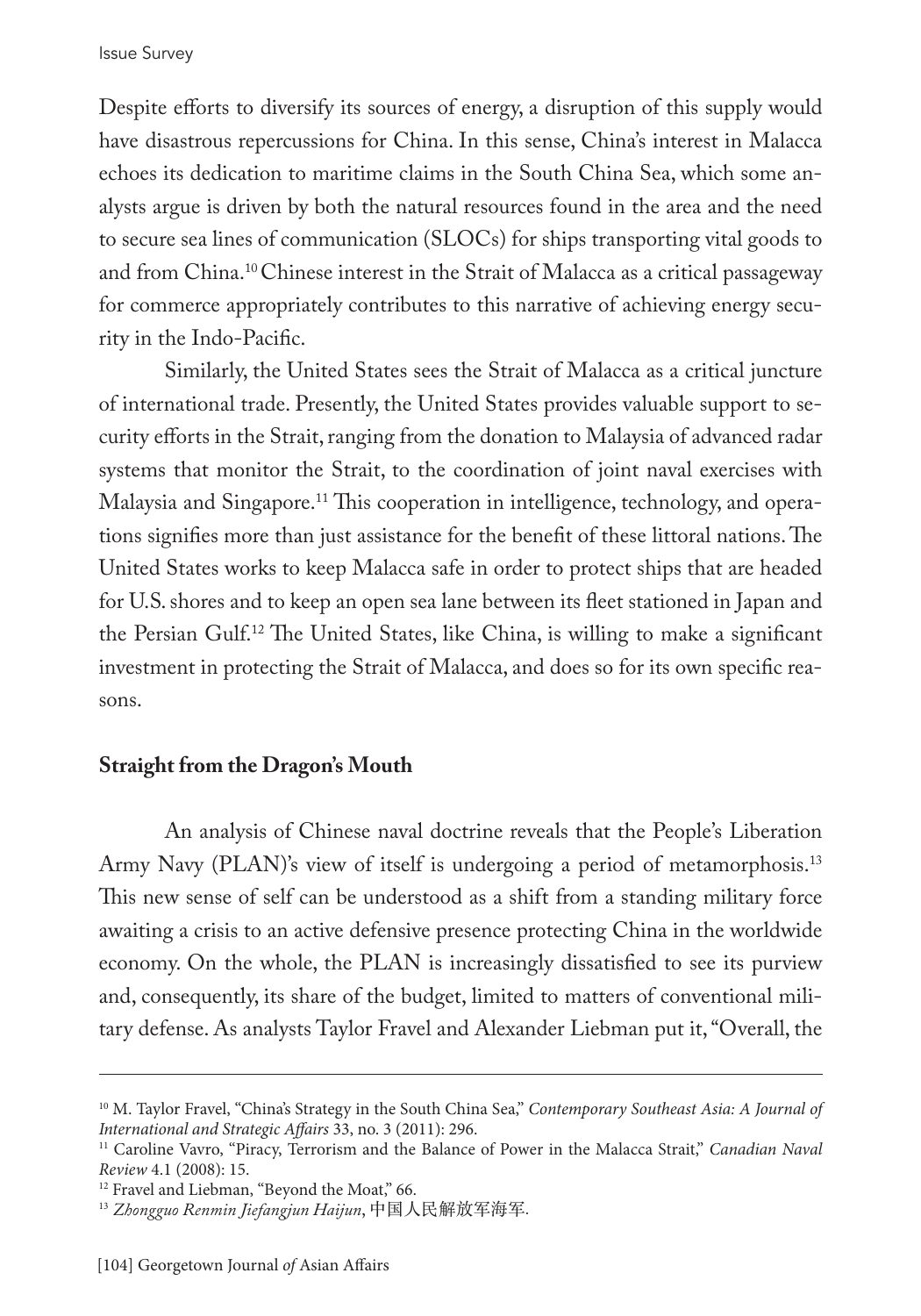Despite efforts to diversify its sources of energy, a disruption of this supply would have disastrous repercussions for China. In this sense, China's interest in Malacca echoes its dedication to maritime claims in the South China Sea, which some analysts argue is driven by both the natural resources found in the area and the need to secure sea lines of communication (SLOCs) for ships transporting vital goods to and from China.10 Chinese interest in the Strait of Malacca as a critical passageway for commerce appropriately contributes to this narrative of achieving energy security in the Indo-Pacific.

Similarly, the United States sees the Strait of Malacca as a critical juncture of international trade. Presently, the United States provides valuable support to security efforts in the Strait, ranging from the donation to Malaysia of advanced radar systems that monitor the Strait, to the coordination of joint naval exercises with Malaysia and Singapore.11 This cooperation in intelligence, technology, and operations signifies more than just assistance for the benefit of these littoral nations. The United States works to keep Malacca safe in order to protect ships that are headed for U.S. shores and to keep an open sea lane between its fleet stationed in Japan and the Persian Gulf.12 The United States, like China, is willing to make a significant investment in protecting the Strait of Malacca, and does so for its own specific reasons.

## **Straight from the Dragon's Mouth**

An analysis of Chinese naval doctrine reveals that the People's Liberation Army Navy (PLAN)'s view of itself is undergoing a period of metamorphosis.<sup>13</sup> This new sense of self can be understood as a shift from a standing military force awaiting a crisis to an active defensive presence protecting China in the worldwide economy. On the whole, the PLAN is increasingly dissatisfied to see its purview and, consequently, its share of the budget, limited to matters of conventional military defense. As analysts Taylor Fravel and Alexander Liebman put it, "Overall, the

<sup>10</sup> M. Taylor Fravel, "China's Strategy in the South China Sea," *Contemporary Southeast Asia: A Journal of International and Strategic Affairs* 33, no. 3 (2011): 296.

<sup>&</sup>lt;sup>11</sup> Caroline Vavro, "Piracy, Terrorism and the Balance of Power in the Malacca Strait," *Canadian Naval Review* 4.1 (2008): 15.

<sup>&</sup>lt;sup>12</sup> Fravel and Liebman, "Beyond the Moat," 66.

<sup>13</sup> *Zhongguo Renmin Jiefangjun Haijun*, 中国人民解放军海军.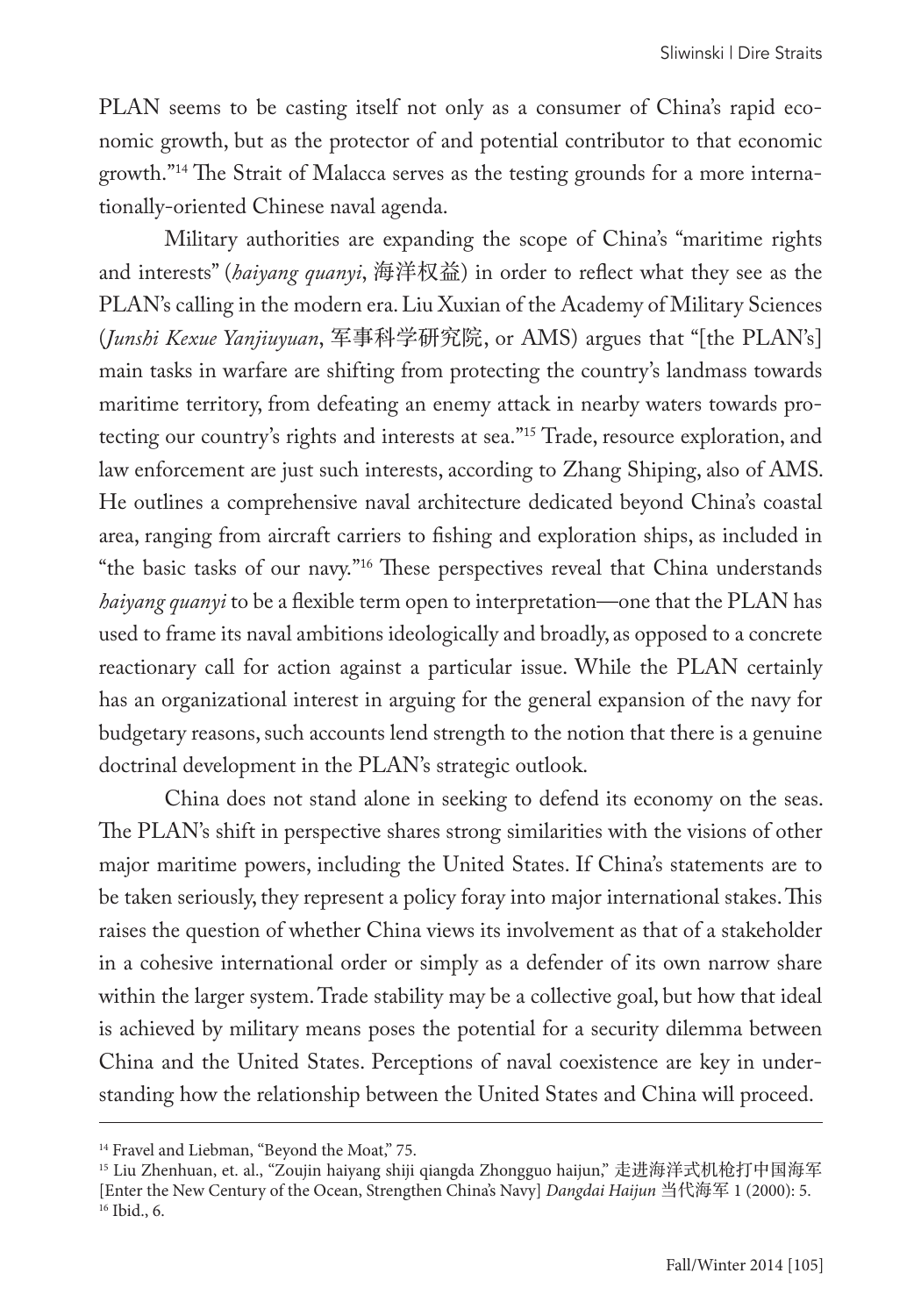PLAN seems to be casting itself not only as a consumer of China's rapid economic growth, but as the protector of and potential contributor to that economic growth."14 The Strait of Malacca serves as the testing grounds for a more internationally-oriented Chinese naval agenda.

Military authorities are expanding the scope of China's "maritime rights and interests" (*haiyang quanyi*, 海洋权益) in order to reflect what they see as the PLAN's calling in the modern era. Liu Xuxian of the Academy of Military Sciences (*Junshi Kexue Yanjiuyuan*, 军事科学研究院, or AMS) argues that "[the PLAN's] main tasks in warfare are shifting from protecting the country's landmass towards maritime territory, from defeating an enemy attack in nearby waters towards protecting our country's rights and interests at sea."15 Trade, resource exploration, and law enforcement are just such interests, according to Zhang Shiping, also of AMS. He outlines a comprehensive naval architecture dedicated beyond China's coastal area, ranging from aircraft carriers to fishing and exploration ships, as included in "the basic tasks of our navy."16 These perspectives reveal that China understands *haiyang quanyi* to be a flexible term open to interpretation—one that the PLAN has used to frame its naval ambitions ideologically and broadly, as opposed to a concrete reactionary call for action against a particular issue. While the PLAN certainly has an organizational interest in arguing for the general expansion of the navy for budgetary reasons, such accounts lend strength to the notion that there is a genuine doctrinal development in the PLAN's strategic outlook.

China does not stand alone in seeking to defend its economy on the seas. The PLAN's shift in perspective shares strong similarities with the visions of other major maritime powers, including the United States. If China's statements are to be taken seriously, they represent a policy foray into major international stakes. This raises the question of whether China views its involvement as that of a stakeholder in a cohesive international order or simply as a defender of its own narrow share within the larger system. Trade stability may be a collective goal, but how that ideal is achieved by military means poses the potential for a security dilemma between China and the United States. Perceptions of naval coexistence are key in understanding how the relationship between the United States and China will proceed.

<sup>&</sup>lt;sup>14</sup> Fravel and Liebman, "Beyond the Moat," 75.

<sup>15</sup> Liu Zhenhuan, et. al., "Zoujin haiyang shiji qiangda Zhongguo haijun," 走进海洋式机枪打中国海军 [Enter the New Century of the Ocean, Strengthen China's Navy] *Dangdai Haijun* 当代海军 1 (2000): 5. 16 Ibid., 6.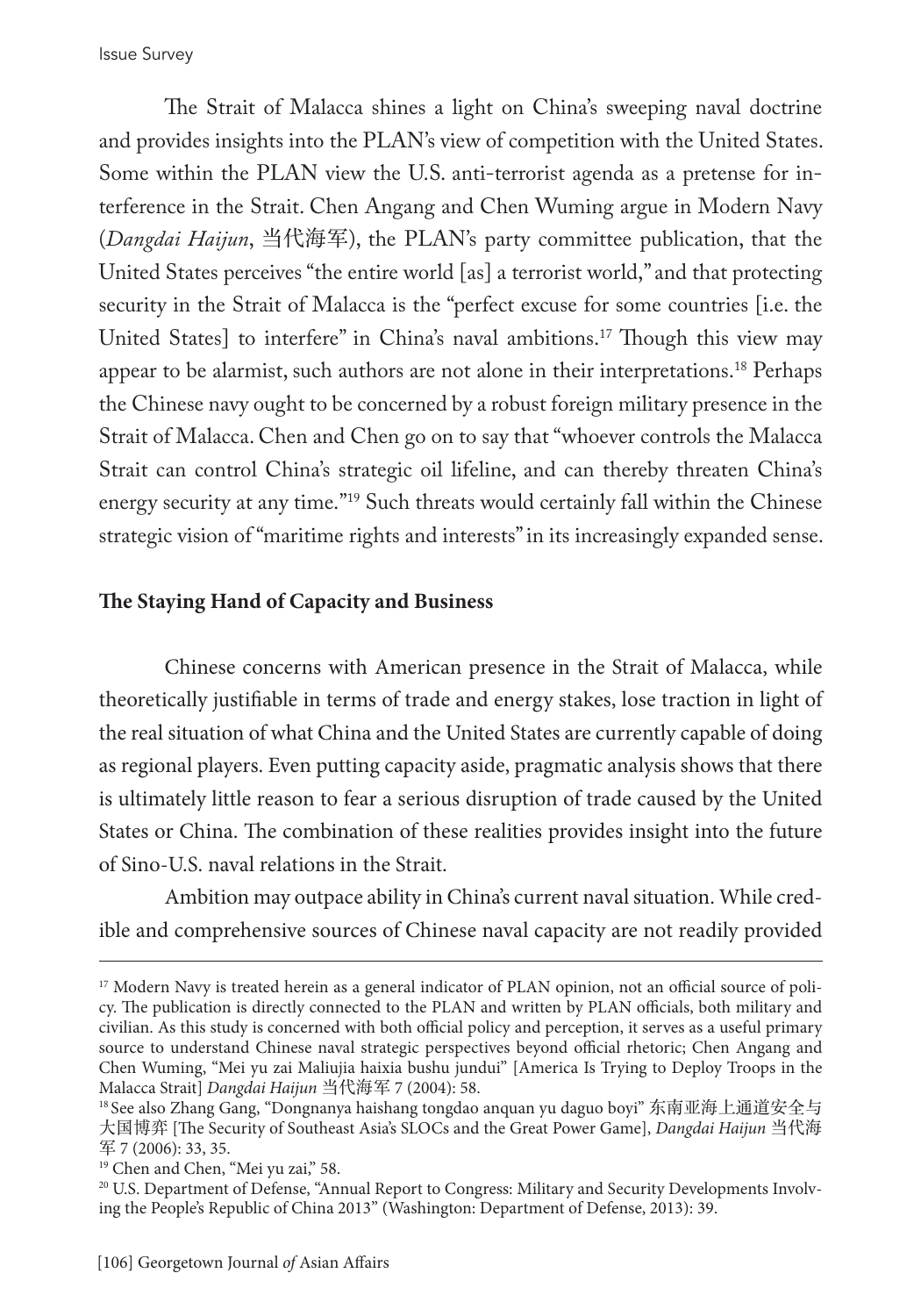Issue Survey

The Strait of Malacca shines a light on China's sweeping naval doctrine and provides insights into the PLAN's view of competition with the United States. Some within the PLAN view the U.S. anti-terrorist agenda as a pretense for interference in the Strait. Chen Angang and Chen Wuming argue in Modern Navy (*Dangdai Haijun*, 当代海军), the PLAN's party committee publication, that the United States perceives "the entire world [as] a terrorist world," and that protecting security in the Strait of Malacca is the "perfect excuse for some countries [i.e. the United States] to interfere" in China's naval ambitions.<sup>17</sup> Though this view may appear to be alarmist, such authors are not alone in their interpretations.18 Perhaps the Chinese navy ought to be concerned by a robust foreign military presence in the Strait of Malacca. Chen and Chen go on to say that "whoever controls the Malacca Strait can control China's strategic oil lifeline, and can thereby threaten China's energy security at any time."19 Such threats would certainly fall within the Chinese strategic vision of "maritime rights and interests" in its increasingly expanded sense.

#### **The Staying Hand of Capacity and Business**

Chinese concerns with American presence in the Strait of Malacca, while theoretically justifiable in terms of trade and energy stakes, lose traction in light of the real situation of what China and the United States are currently capable of doing as regional players. Even putting capacity aside, pragmatic analysis shows that there is ultimately little reason to fear a serious disruption of trade caused by the United States or China. The combination of these realities provides insight into the future of Sino-U.S. naval relations in the Strait.

Ambition may outpace ability in China's current naval situation. While credible and comprehensive sources of Chinese naval capacity are not readily provided

<sup>&</sup>lt;sup>17</sup> Modern Navy is treated herein as a general indicator of PLAN opinion, not an official source of policy. The publication is directly connected to the PLAN and written by PLAN officials, both military and civilian. As this study is concerned with both official policy and perception, it serves as a useful primary source to understand Chinese naval strategic perspectives beyond official rhetoric; Chen Angang and Chen Wuming, "Mei yu zai Maliujia haixia bushu jundui" [America Is Trying to Deploy Troops in the Malacca Strait] *Dangdai Haijun* 当代海军 7 (2004): 58.

<sup>18</sup> See also Zhang Gang, "Dongnanya haishang tongdao anquan yu daguo boyi" 东南亚海上通道安全与 大国博弈 [The Security of Southeast Asia's SLOCs and the Great Power Game], *Dangdai Haijun* 当代海 军 7 (2006): 33, 35.

<sup>&</sup>lt;sup>19</sup> Chen and Chen, "Mei yu zai," 58.

<sup>20</sup> U.S. Department of Defense, "Annual Report to Congress: Military and Security Developments Involving the People's Republic of China 2013" (Washington: Department of Defense, 2013): 39.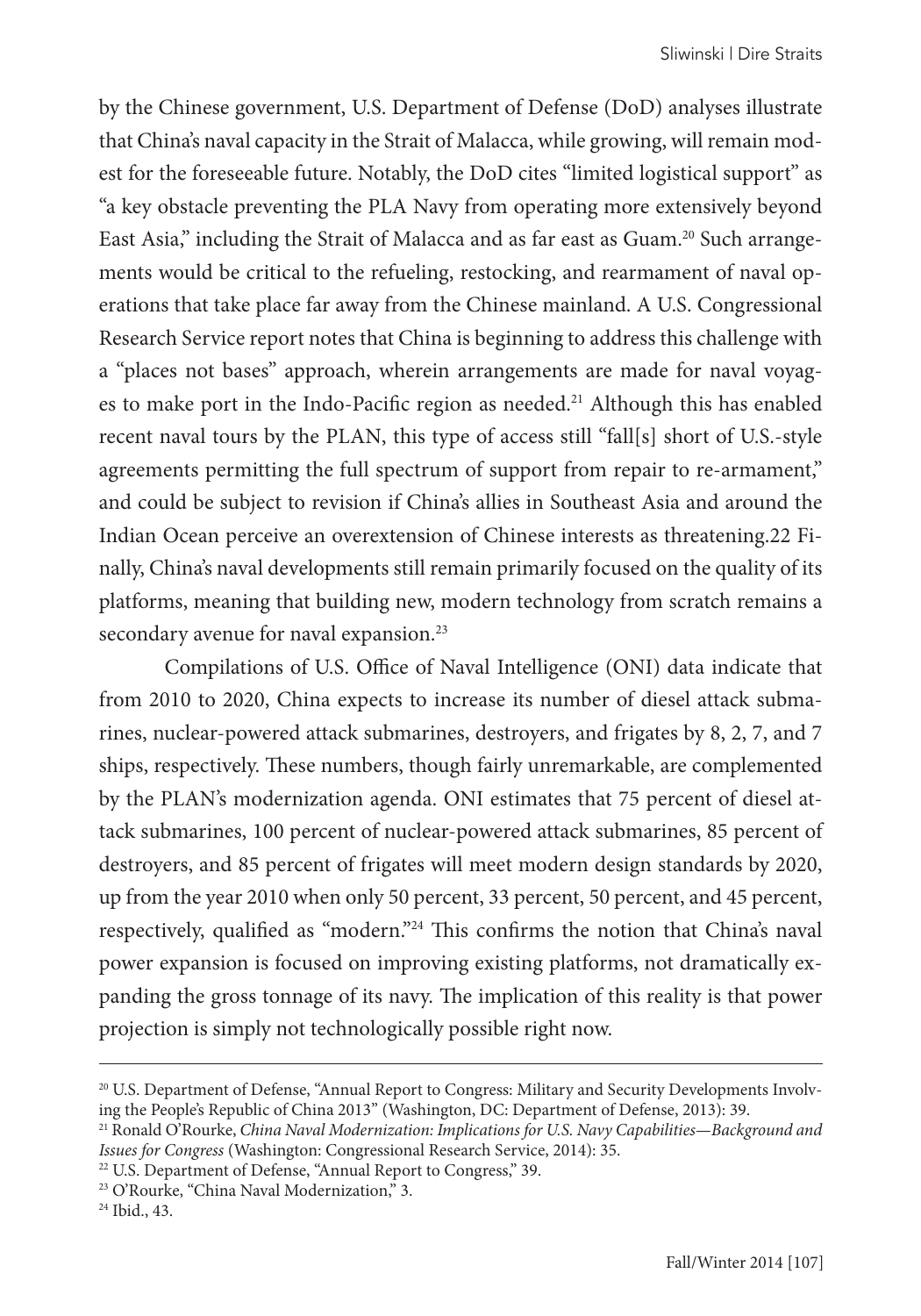by the Chinese government, U.S. Department of Defense (DoD) analyses illustrate that China's naval capacity in the Strait of Malacca, while growing, will remain modest for the foreseeable future. Notably, the DoD cites "limited logistical support" as "a key obstacle preventing the PLA Navy from operating more extensively beyond East Asia," including the Strait of Malacca and as far east as Guam.20 Such arrangements would be critical to the refueling, restocking, and rearmament of naval operations that take place far away from the Chinese mainland. A U.S. Congressional Research Service report notes that China is beginning to address this challenge with a "places not bases" approach, wherein arrangements are made for naval voyages to make port in the Indo-Pacific region as needed.<sup>21</sup> Although this has enabled recent naval tours by the PLAN, this type of access still "fall[s] short of U.S.-style agreements permitting the full spectrum of support from repair to re-armament," and could be subject to revision if China's allies in Southeast Asia and around the Indian Ocean perceive an overextension of Chinese interests as threatening.22 Finally, China's naval developments still remain primarily focused on the quality of its platforms, meaning that building new, modern technology from scratch remains a secondary avenue for naval expansion.<sup>23</sup>

Compilations of U.S. Office of Naval Intelligence (ONI) data indicate that from 2010 to 2020, China expects to increase its number of diesel attack submarines, nuclear-powered attack submarines, destroyers, and frigates by 8, 2, 7, and 7 ships, respectively. These numbers, though fairly unremarkable, are complemented by the PLAN's modernization agenda. ONI estimates that 75 percent of diesel attack submarines, 100 percent of nuclear-powered attack submarines, 85 percent of destroyers, and 85 percent of frigates will meet modern design standards by 2020, up from the year 2010 when only 50 percent, 33 percent, 50 percent, and 45 percent, respectively, qualified as "modern."24 This confirms the notion that China's naval power expansion is focused on improving existing platforms, not dramatically expanding the gross tonnage of its navy. The implication of this reality is that power projection is simply not technologically possible right now.

<sup>&</sup>lt;sup>20</sup> U.S. Department of Defense, "Annual Report to Congress: Military and Security Developments Involving the People's Republic of China 2013" (Washington, DC: Department of Defense, 2013): 39.

<sup>21</sup> Ronald O'Rourke, *China Naval Modernization: Implications for U.S. Navy Capabilities—Background and Issues for Congress* (Washington: Congressional Research Service, 2014): 35.

<sup>&</sup>lt;sup>22</sup> U.S. Department of Defense, "Annual Report to Congress," 39.

<sup>&</sup>lt;sup>23</sup> O'Rourke, "China Naval Modernization," 3.

<sup>24</sup> Ibid., 43.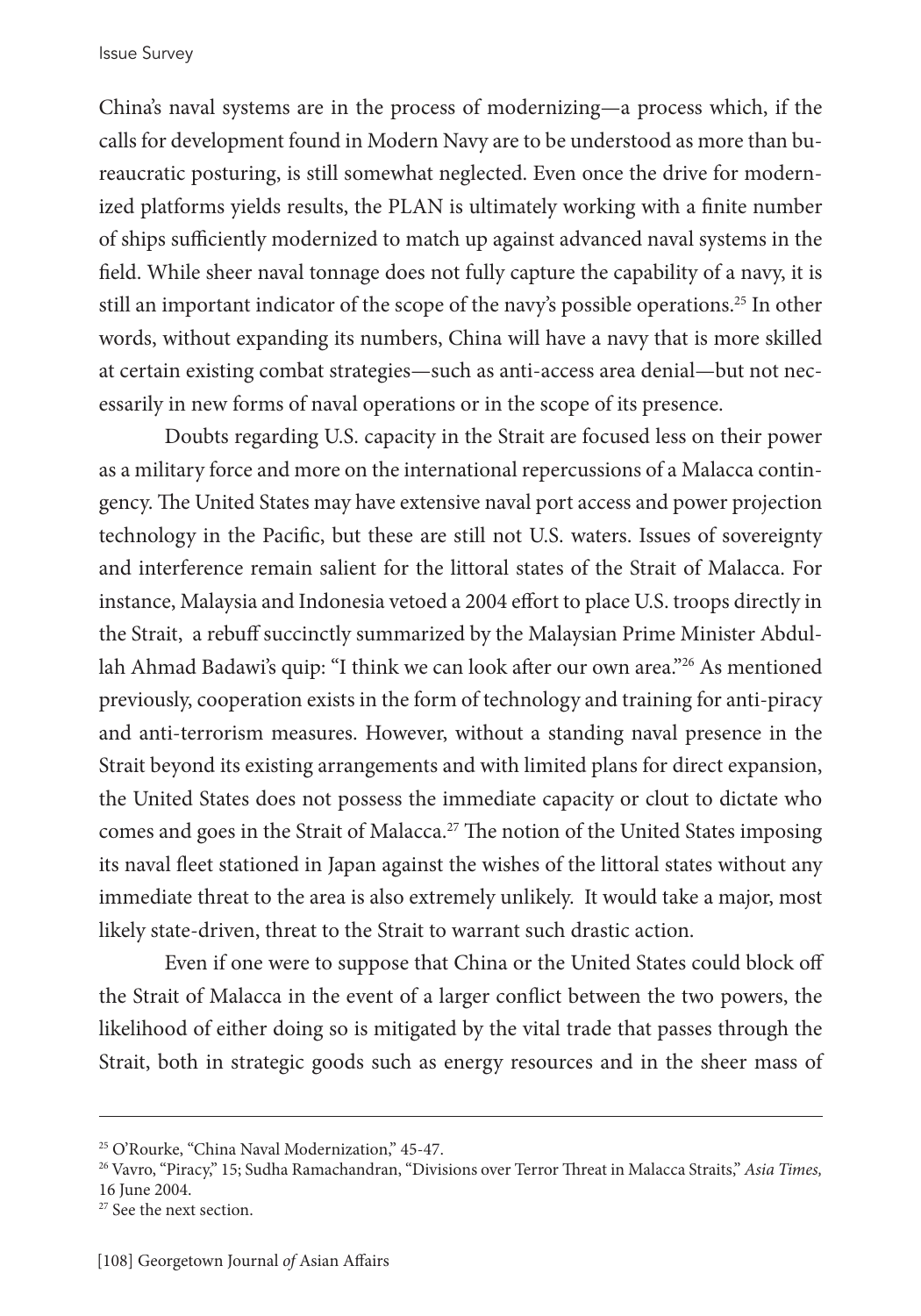China's naval systems are in the process of modernizing—a process which, if the calls for development found in Modern Navy are to be understood as more than bureaucratic posturing, is still somewhat neglected. Even once the drive for modernized platforms yields results, the PLAN is ultimately working with a finite number of ships sufficiently modernized to match up against advanced naval systems in the field. While sheer naval tonnage does not fully capture the capability of a navy, it is still an important indicator of the scope of the navy's possible operations.<sup>25</sup> In other words, without expanding its numbers, China will have a navy that is more skilled at certain existing combat strategies—such as anti-access area denial—but not necessarily in new forms of naval operations or in the scope of its presence.

Doubts regarding U.S. capacity in the Strait are focused less on their power as a military force and more on the international repercussions of a Malacca contingency. The United States may have extensive naval port access and power projection technology in the Pacific, but these are still not U.S. waters. Issues of sovereignty and interference remain salient for the littoral states of the Strait of Malacca. For instance, Malaysia and Indonesia vetoed a 2004 effort to place U.S. troops directly in the Strait, a rebuff succinctly summarized by the Malaysian Prime Minister Abdullah Ahmad Badawi's quip: "I think we can look after our own area."<sup>26</sup> As mentioned previously, cooperation exists in the form of technology and training for anti-piracy and anti-terrorism measures. However, without a standing naval presence in the Strait beyond its existing arrangements and with limited plans for direct expansion, the United States does not possess the immediate capacity or clout to dictate who comes and goes in the Strait of Malacca.27 The notion of the United States imposing its naval fleet stationed in Japan against the wishes of the littoral states without any immediate threat to the area is also extremely unlikely. It would take a major, most likely state-driven, threat to the Strait to warrant such drastic action.

Even if one were to suppose that China or the United States could block off the Strait of Malacca in the event of a larger conflict between the two powers, the likelihood of either doing so is mitigated by the vital trade that passes through the Strait, both in strategic goods such as energy resources and in the sheer mass of

<sup>25</sup> O'Rourke, "China Naval Modernization," 45-47.

<sup>26</sup> Vavro, "Piracy," 15; Sudha Ramachandran, "Divisions over Terror Threat in Malacca Straits," *Asia Times,*  16 June 2004.

<sup>&</sup>lt;sup>27</sup> See the next section.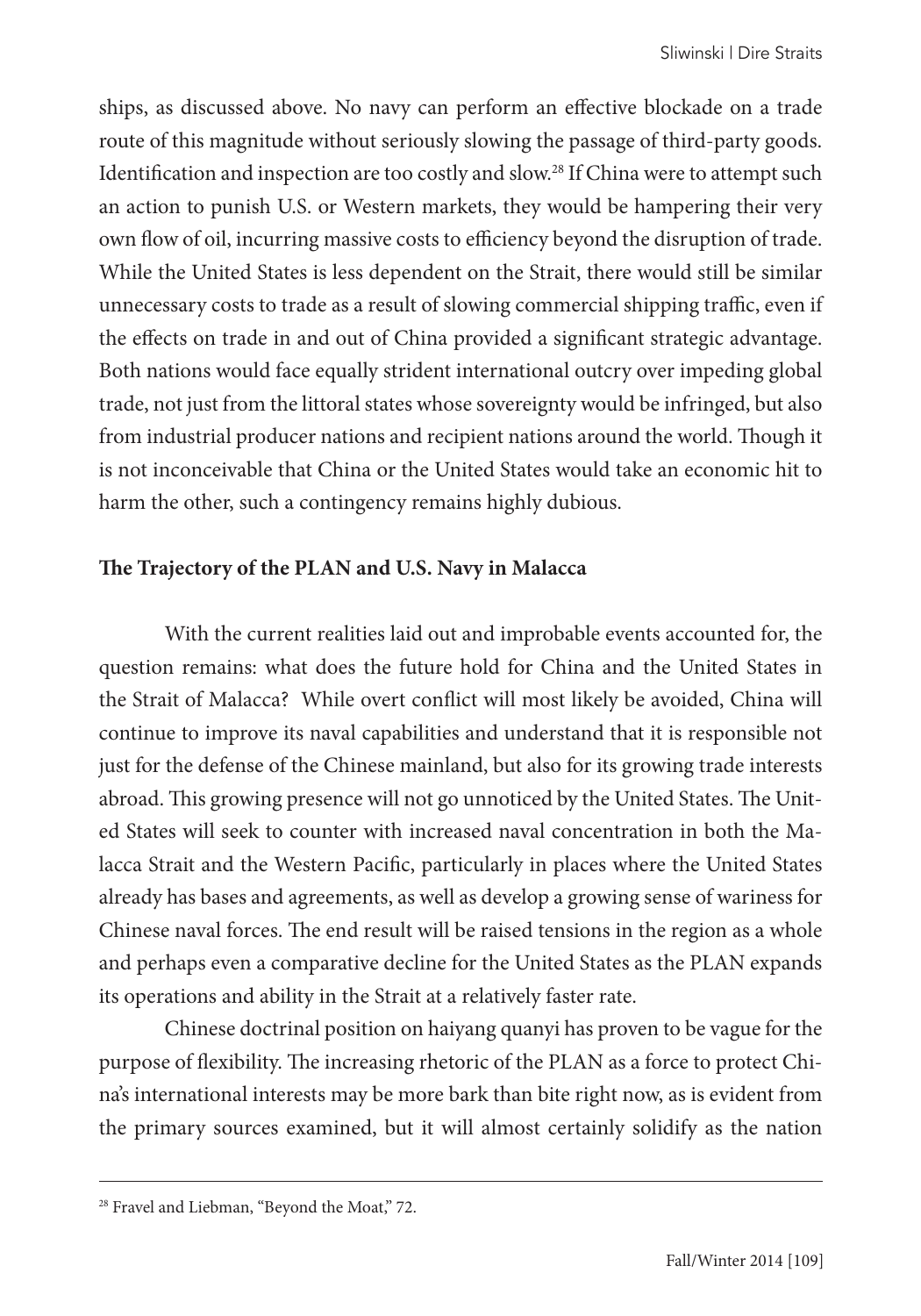ships, as discussed above. No navy can perform an effective blockade on a trade route of this magnitude without seriously slowing the passage of third-party goods. Identification and inspection are too costly and slow.28 If China were to attempt such an action to punish U.S. or Western markets, they would be hampering their very own flow of oil, incurring massive costs to efficiency beyond the disruption of trade. While the United States is less dependent on the Strait, there would still be similar unnecessary costs to trade as a result of slowing commercial shipping traffic, even if the effects on trade in and out of China provided a significant strategic advantage. Both nations would face equally strident international outcry over impeding global trade, not just from the littoral states whose sovereignty would be infringed, but also from industrial producer nations and recipient nations around the world. Though it is not inconceivable that China or the United States would take an economic hit to harm the other, such a contingency remains highly dubious.

#### **The Trajectory of the PLAN and U.S. Navy in Malacca**

With the current realities laid out and improbable events accounted for, the question remains: what does the future hold for China and the United States in the Strait of Malacca? While overt conflict will most likely be avoided, China will continue to improve its naval capabilities and understand that it is responsible not just for the defense of the Chinese mainland, but also for its growing trade interests abroad. This growing presence will not go unnoticed by the United States. The United States will seek to counter with increased naval concentration in both the Malacca Strait and the Western Pacific, particularly in places where the United States already has bases and agreements, as well as develop a growing sense of wariness for Chinese naval forces. The end result will be raised tensions in the region as a whole and perhaps even a comparative decline for the United States as the PLAN expands its operations and ability in the Strait at a relatively faster rate.

Chinese doctrinal position on haiyang quanyi has proven to be vague for the purpose of flexibility. The increasing rhetoric of the PLAN as a force to protect China's international interests may be more bark than bite right now, as is evident from the primary sources examined, but it will almost certainly solidify as the nation

<sup>&</sup>lt;sup>28</sup> Fravel and Liebman, "Beyond the Moat," 72.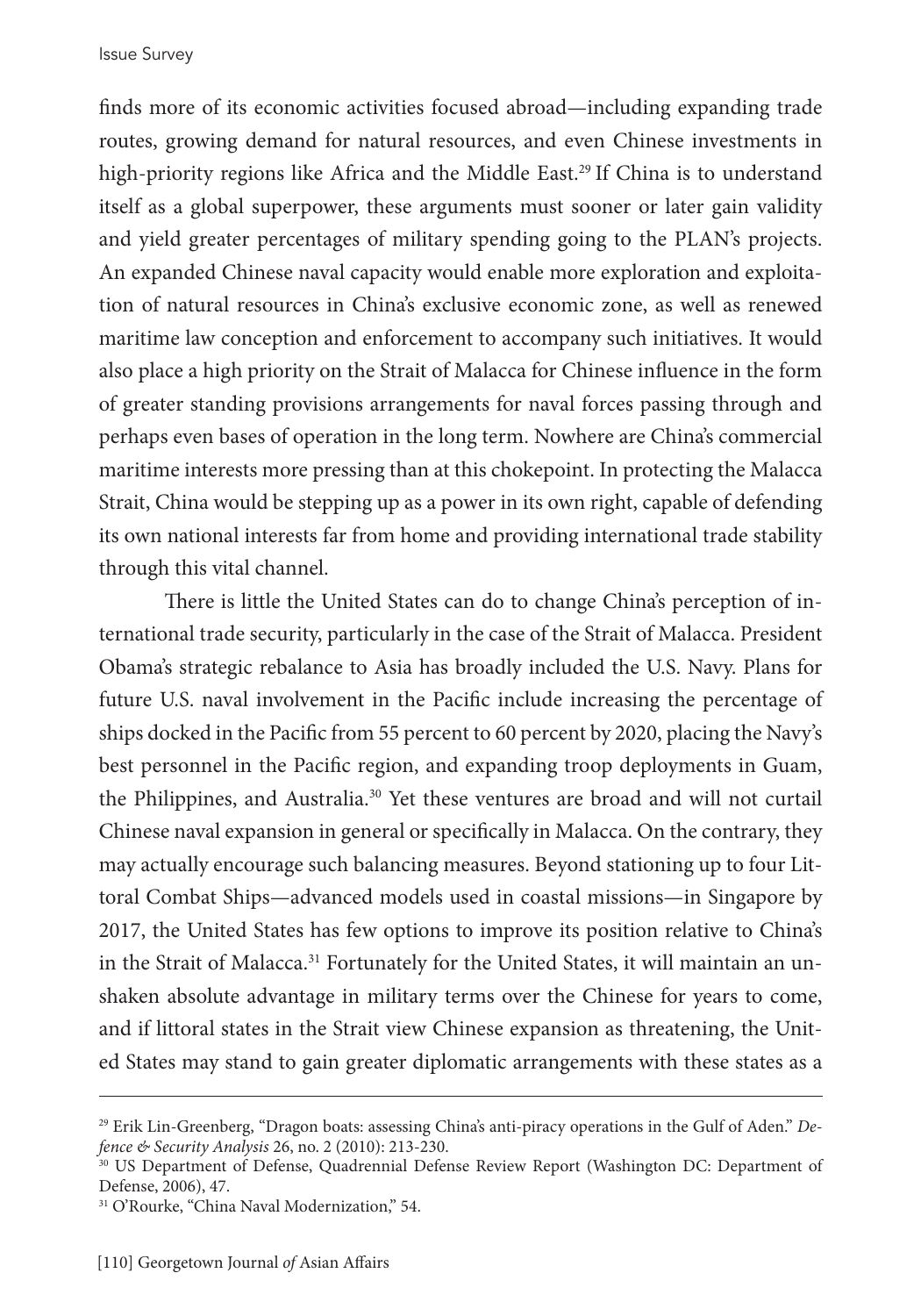finds more of its economic activities focused abroad—including expanding trade routes, growing demand for natural resources, and even Chinese investments in high-priority regions like Africa and the Middle East.<sup>29</sup> If China is to understand itself as a global superpower, these arguments must sooner or later gain validity and yield greater percentages of military spending going to the PLAN's projects. An expanded Chinese naval capacity would enable more exploration and exploitation of natural resources in China's exclusive economic zone, as well as renewed maritime law conception and enforcement to accompany such initiatives. It would also place a high priority on the Strait of Malacca for Chinese influence in the form of greater standing provisions arrangements for naval forces passing through and perhaps even bases of operation in the long term. Nowhere are China's commercial maritime interests more pressing than at this chokepoint. In protecting the Malacca Strait, China would be stepping up as a power in its own right, capable of defending its own national interests far from home and providing international trade stability through this vital channel.

There is little the United States can do to change China's perception of international trade security, particularly in the case of the Strait of Malacca. President Obama's strategic rebalance to Asia has broadly included the U.S. Navy. Plans for future U.S. naval involvement in the Pacific include increasing the percentage of ships docked in the Pacific from 55 percent to 60 percent by 2020, placing the Navy's best personnel in the Pacific region, and expanding troop deployments in Guam, the Philippines, and Australia.30 Yet these ventures are broad and will not curtail Chinese naval expansion in general or specifically in Malacca. On the contrary, they may actually encourage such balancing measures. Beyond stationing up to four Littoral Combat Ships—advanced models used in coastal missions—in Singapore by 2017, the United States has few options to improve its position relative to China's in the Strait of Malacca.<sup>31</sup> Fortunately for the United States, it will maintain an unshaken absolute advantage in military terms over the Chinese for years to come, and if littoral states in the Strait view Chinese expansion as threatening, the United States may stand to gain greater diplomatic arrangements with these states as a

<sup>29</sup> Erik Lin-Greenberg, "Dragon boats: assessing China's anti-piracy operations in the Gulf of Aden." *Defence & Security Analysis* 26, no. 2 (2010): 213-230.

<sup>&</sup>lt;sup>30</sup> US Department of Defense, Quadrennial Defense Review Report (Washington DC: Department of Defense, 2006), 47.

<sup>31</sup> O'Rourke, "China Naval Modernization," 54.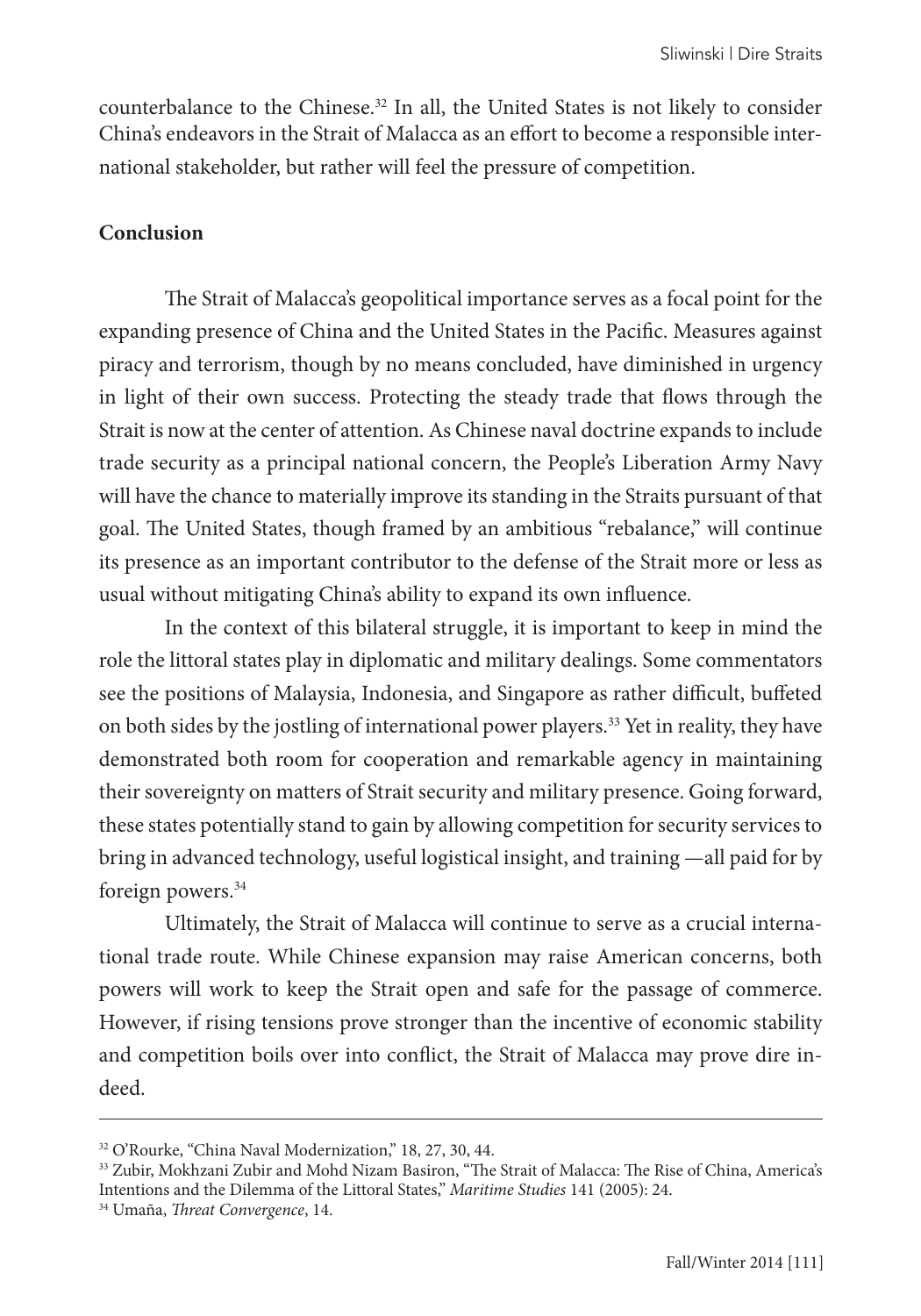counterbalance to the Chinese. $32$  In all, the United States is not likely to consider China's endeavors in the Strait of Malacca as an effort to become a responsible international stakeholder, but rather will feel the pressure of competition.

#### **Conclusion**

The Strait of Malacca's geopolitical importance serves as a focal point for the expanding presence of China and the United States in the Pacific. Measures against piracy and terrorism, though by no means concluded, have diminished in urgency in light of their own success. Protecting the steady trade that flows through the Strait is now at the center of attention. As Chinese naval doctrine expands to include trade security as a principal national concern, the People's Liberation Army Navy will have the chance to materially improve its standing in the Straits pursuant of that goal. The United States, though framed by an ambitious "rebalance," will continue its presence as an important contributor to the defense of the Strait more or less as usual without mitigating China's ability to expand its own influence.

In the context of this bilateral struggle, it is important to keep in mind the role the littoral states play in diplomatic and military dealings. Some commentators see the positions of Malaysia, Indonesia, and Singapore as rather difficult, buffeted on both sides by the jostling of international power players.<sup>33</sup> Yet in reality, they have demonstrated both room for cooperation and remarkable agency in maintaining their sovereignty on matters of Strait security and military presence. Going forward, these states potentially stand to gain by allowing competition for security services to bring in advanced technology, useful logistical insight, and training —all paid for by foreign powers.<sup>34</sup>

Ultimately, the Strait of Malacca will continue to serve as a crucial international trade route. While Chinese expansion may raise American concerns, both powers will work to keep the Strait open and safe for the passage of commerce. However, if rising tensions prove stronger than the incentive of economic stability and competition boils over into conflict, the Strait of Malacca may prove dire indeed.

<sup>&</sup>lt;sup>32</sup> O'Rourke, "China Naval Modernization," 18, 27, 30, 44.

<sup>&</sup>lt;sup>33</sup> Zubir, Mokhzani Zubir and Mohd Nizam Basiron, "The Strait of Malacca: The Rise of China, America's Intentions and the Dilemma of the Littoral States," *Maritime Studies* 141 (2005): 24.

<sup>34</sup> Umaña, *Threat Convergence*, 14.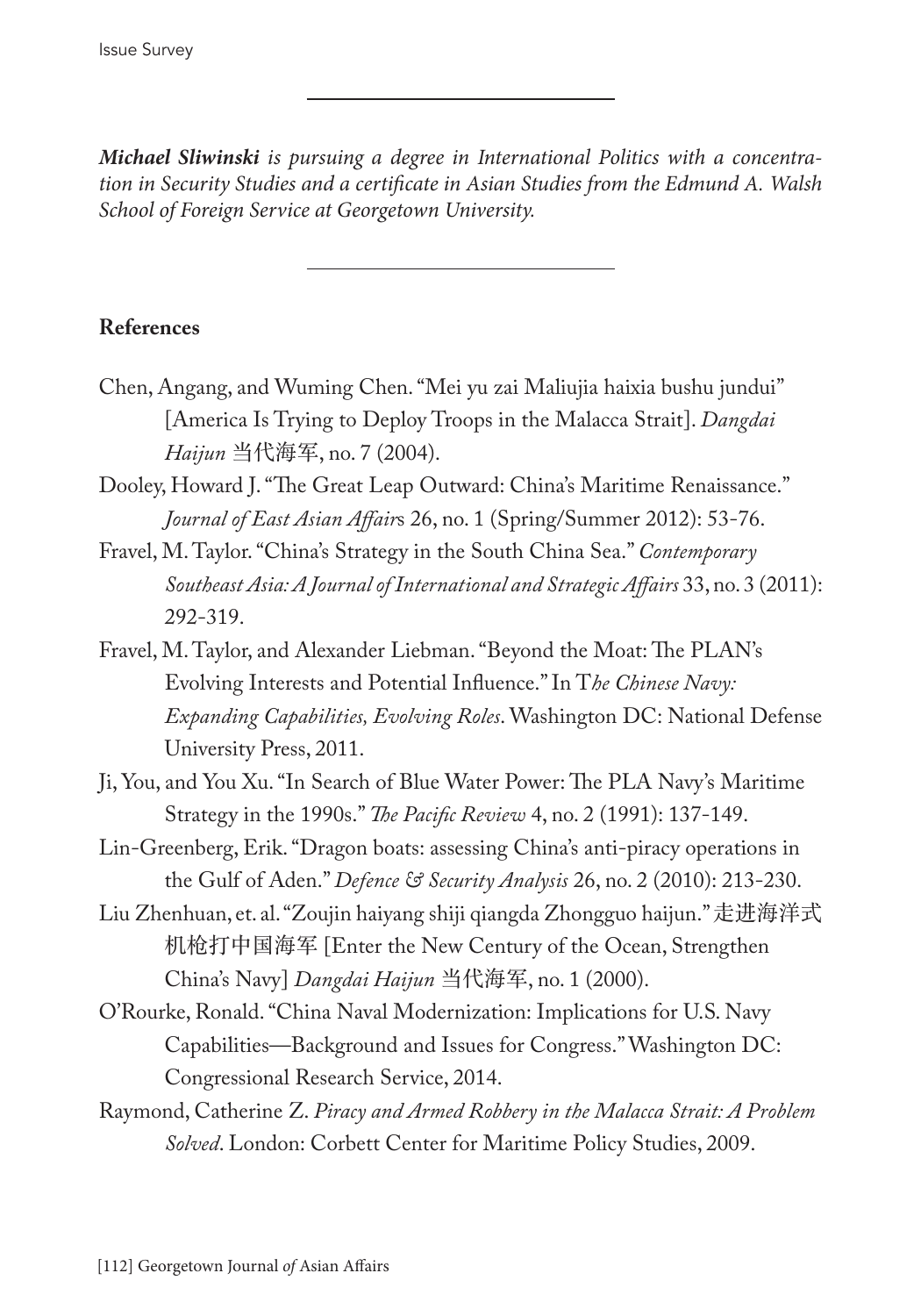*Michael Sliwinski is pursuing a degree in International Politics with a concentration in Security Studies and a certificate in Asian Studies from the Edmund A. Walsh School of Foreign Service at Georgetown University.*

# **References**

- Chen, Angang, and Wuming Chen. "Mei yu zai Maliujia haixia bushu jundui" [America Is Trying to Deploy Troops in the Malacca Strait]. *Dangdai Haijun* 当代海军, no. 7 (2004).
- Dooley, Howard J. "The Great Leap Outward: China's Maritime Renaissance." *Journal of East Asian Affair*s 26, no. 1 (Spring/Summer 2012): 53-76.
- Fravel, M. Taylor. "China's Strategy in the South China Sea." *Contemporary Southeast Asia: A Journal of International and Strategic Affairs* 33, no. 3 (2011): 292-319.
- Fravel, M. Taylor, and Alexander Liebman. "Beyond the Moat: The PLAN's Evolving Interests and Potential Influence." In T*he Chinese Navy: Expanding Capabilities, Evolving Roles*. Washington DC: National Defense University Press, 2011.
- Ji, You, and You Xu. "In Search of Blue Water Power: The PLA Navy's Maritime Strategy in the 1990s." *The Pacific Review* 4, no. 2 (1991): 137-149.
- Lin-Greenberg, Erik. "Dragon boats: assessing China's anti-piracy operations in the Gulf of Aden." *Defence & Security Analysis* 26, no. 2 (2010): 213-230.
- Liu Zhenhuan, et. al. "Zoujin haiyang shiji qiangda Zhongguo haijun." 走进海洋式 机枪打中国海军 [Enter the New Century of the Ocean, Strengthen China's Navy] *Dangdai Haijun* 当代海军, no. 1 (2000).
- O'Rourke, Ronald. "China Naval Modernization: Implications for U.S. Navy Capabilities—Background and Issues for Congress." Washington DC: Congressional Research Service, 2014.
- Raymond, Catherine Z. *Piracy and Armed Robbery in the Malacca Strait: A Problem Solved*. London: Corbett Center for Maritime Policy Studies, 2009.